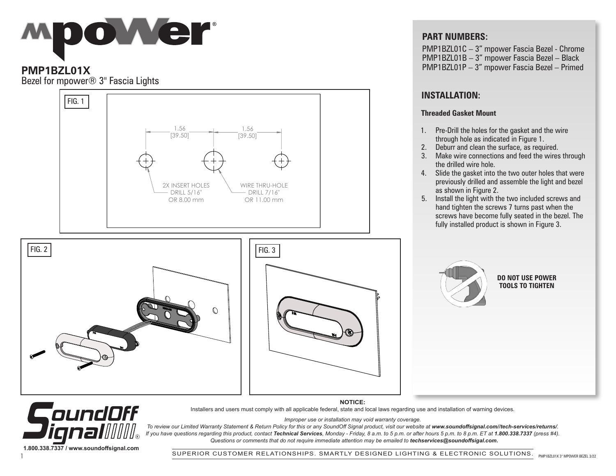

## **PMP1BZL01X**

Bezel for mpower® 3" Fascia Lights

**1.800.338.7337 / www.soundoffsignal.com**

CoundOff



### **PART NUMBERS:**

PMP1BZL01C – 3" mpower Fascia Bezel - Chrome PMP1BZL01B – 3" mpower Fascia Bezel – Black PMP1BZL01P – 3" mpower Fascia Bezel – Primed

# **INSTALLATION:**

#### **Threaded Gasket Mount**

- 1. Pre-Drill the holes for the gasket and the wire through hole as indicated in Figure 1.
- 2. Deburr and clean the surface, as required.
- 3. Make wire connections and feed the wires through the drilled wire hole.
- 4. Slide the gasket into the two outer holes that were previously drilled and assemble the light and bezel as shown in Figure 2.
- 5. Install the light with the two included screws and hand tighten the screws 7 turns past when the screws have become fully seated in the bezel. The fully installed product is shown in Figure 3.



#### **DO NOT USE POWER TOOLS TO TIGHTEN**

To review our Limited Warranty Statement & Return Policy for this or any SoundOff Signal product, visit our website at www.soundoffsignal.com//tech-services/returns/. /∐∥⊚ *If you have questions regarding this product, contact Technical Services, Monday - Friday, 8 a.m. to 5 p.m. or after hours 5 p.m. to 8 p.m. ET at 1.800.338.7337 (press #4).*

 *Questions or comments that do not require immediate attention may be emailed to techservices@soundoffsigal.com.*

**NOTICE:** Installers and users must comply with all applicable federal, state and local laws regarding use and installation of warning devices. *Improper use or installation may void warranty coverage.*

PMP1BZL01X 3" MPOWER BEZEL 3/22 SUPERIOR CUSTOMER RELATIONSHIPS. SMARTLY DESIGNED LIGHTING & ELECTRONIC SOLUTIONS. 1